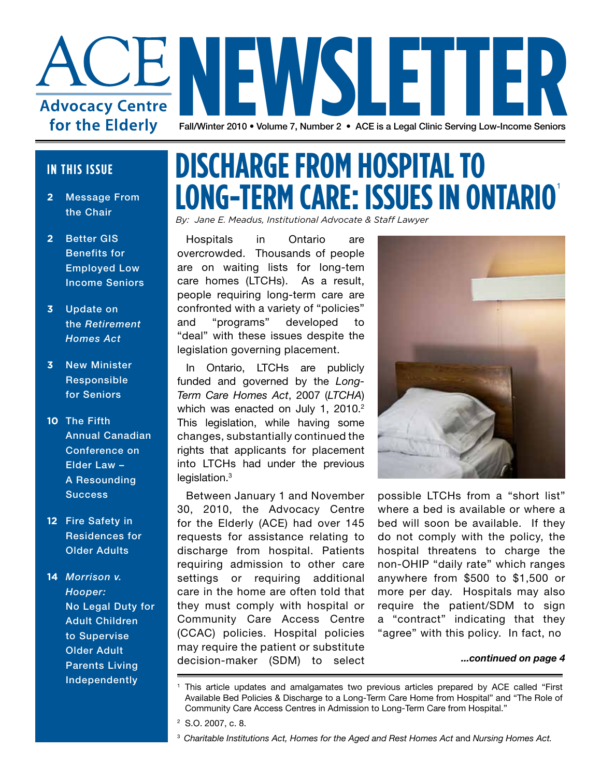

#### **IN THIS ISSUE**

- **2** Message From the Chair
- **2** Better GIS Benefits for Employed Low Income Seniors
- **3** Update on the *Retirement Homes Act*
- **3** New Minister Responsible for Seniors
- **10** The Fifth Annual Canadian Conference on Elder Law – A Resounding **Success**
- **12** Fire Safety in Residences for Older Adults
- **14** *Morrison v. Hooper:* No Legal Duty for Adult Children to Supervise Older Adult Parents Living **Independently**

### **DISCHARGE FROM HOSPITAL TO LONG-TERM CARE: ISSUES IN ONTARIO**

*By: Jane E. Meadus, Institutional Advocate & Staff Lawyer*

Hospitals in Ontario are overcrowded. Thousands of people are on waiting lists for long-tem care homes (LTCHs). As a result, people requiring long-term care are confronted with a variety of "policies" and "programs" developed to "deal" with these issues despite the legislation governing placement.

In Ontario, LTCHs are publicly funded and governed by the *Long-Term Care Homes Act*, 2007 (*LTCHA*) which was enacted on July 1, 2010.<sup>2</sup> This legislation, while having some changes, substantially continued the rights that applicants for placement into LTCHs had under the previous legislation.<sup>3</sup>

Between January 1 and November 30, 2010, the Advocacy Centre for the Elderly (ACE) had over 145 requests for assistance relating to discharge from hospital. Patients requiring admission to other care settings or requiring additional care in the home are often told that they must comply with hospital or Community Care Access Centre (CCAC) policies. Hospital policies may require the patient or substitute decision-maker (SDM) to select



possible LTCHs from a "short list" where a bed is available or where a bed will soon be available. If they do not comply with the policy, the hospital threatens to charge the non-OHIP "daily rate" which ranges anywhere from \$500 to \$1,500 or more per day. Hospitals may also require the patient/SDM to sign a "contract" indicating that they "agree" with this policy. In fact, no

*<sup>...</sup>continued on page 4*

<sup>&</sup>lt;sup>1</sup> This article updates and amalgamates two previous articles prepared by ACE called "First Available Bed Policies & Discharge to a Long-Term Care Home from Hospital" and "The Role of Community Care Access Centres in Admission to Long-Term Care from Hospital."

<sup>2</sup> S.O. 2007, c. 8.

<sup>3</sup> *Charitable Institutions Act, Homes for the Aged and Rest Homes Act* and *Nursing Homes Act.*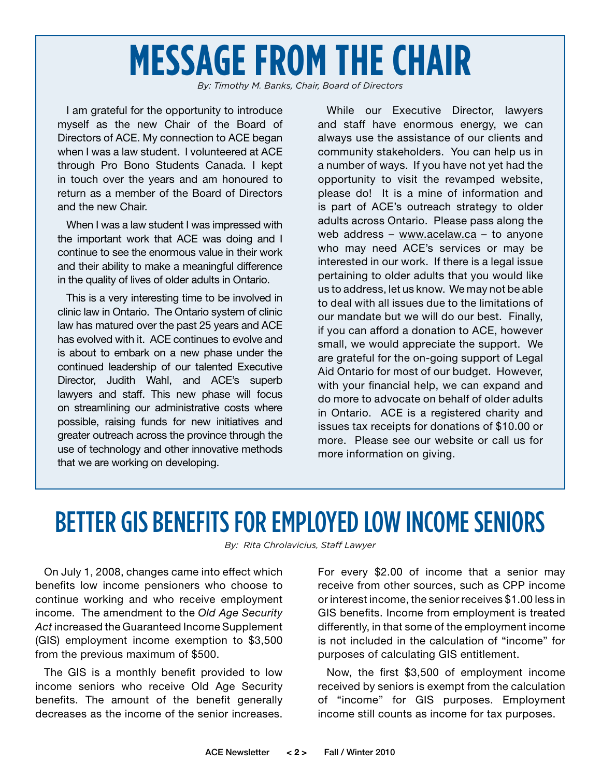## **MESSAGE FROM THE CHAIR**

*By: Timothy M. Banks, Chair, Board of Directors*

I am grateful for the opportunity to introduce myself as the new Chair of the Board of Directors of ACE. My connection to ACE began when I was a law student. I volunteered at ACE through Pro Bono Students Canada. I kept in touch over the years and am honoured to return as a member of the Board of Directors and the new Chair.

When I was a law student I was impressed with the important work that ACE was doing and I continue to see the enormous value in their work and their ability to make a meaningful difference in the quality of lives of older adults in Ontario.

This is a very interesting time to be involved in clinic law in Ontario. The Ontario system of clinic law has matured over the past 25 years and ACE has evolved with it. ACE continues to evolve and is about to embark on a new phase under the continued leadership of our talented Executive Director, Judith Wahl, and ACE's superb lawyers and staff. This new phase will focus on streamlining our administrative costs where possible, raising funds for new initiatives and greater outreach across the province through the use of technology and other innovative methods that we are working on developing.

While our Executive Director, lawyers and staff have enormous energy, we can always use the assistance of our clients and community stakeholders. You can help us in a number of ways. If you have not yet had the opportunity to visit the revamped website, please do! It is a mine of information and is part of ACE's outreach strategy to older adults across Ontario. Please pass along the web address – www.acelaw.ca – to anyone who may need ACE's services or may be interested in our work. If there is a legal issue pertaining to older adults that you would like us to address, let us know. We may not be able to deal with all issues due to the limitations of our mandate but we will do our best. Finally, if you can afford a donation to ACE, however small, we would appreciate the support. We are grateful for the on-going support of Legal Aid Ontario for most of our budget. However, with your financial help, we can expand and do more to advocate on behalf of older adults in Ontario. ACE is a registered charity and issues tax receipts for donations of \$10.00 or more. Please see our website or call us for more information on giving.

### BETTER GIS BENEFITS FOR EMPLOYED LOW INCOME SENIORS

*By: Rita Chrolavicius, Staff Lawyer*

On July 1, 2008, changes came into effect which benefits low income pensioners who choose to continue working and who receive employment income. The amendment to the *Old Age Security Act* increased the Guaranteed Income Supplement (GIS) employment income exemption to \$3,500 from the previous maximum of \$500.

The GIS is a monthly benefit provided to low income seniors who receive Old Age Security benefits. The amount of the benefit generally decreases as the income of the senior increases.

For every \$2.00 of income that a senior may receive from other sources, such as CPP income or interest income, the senior receives \$1.00 less in GIS benefits. Income from employment is treated differently, in that some of the employment income is not included in the calculation of "income" for purposes of calculating GIS entitlement.

Now, the first \$3,500 of employment income received by seniors is exempt from the calculation of "income" for GIS purposes. Employment income still counts as income for tax purposes.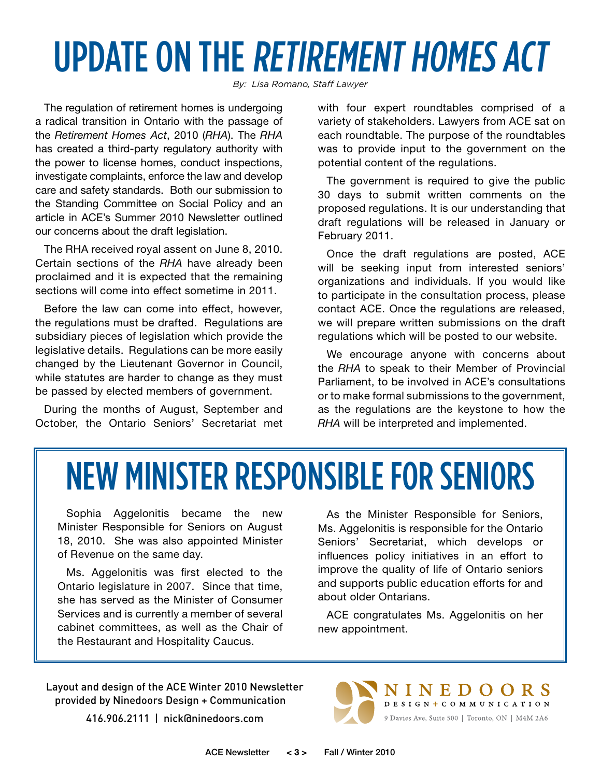## UPDATE ON THE RETIREMENT HOMES ACT

*By: Lisa Romano, Staff Lawyer*

The regulation of retirement homes is undergoing a radical transition in Ontario with the passage of the *Retirement Homes Act*, 2010 (*RHA*). The *RHA*  has created a third-party regulatory authority with the power to license homes, conduct inspections, investigate complaints, enforce the law and develop care and safety standards. Both our submission to the Standing Committee on Social Policy and an article in ACE's Summer 2010 Newsletter outlined our concerns about the draft legislation.

The RHA received royal assent on June 8, 2010. Certain sections of the *RHA* have already been proclaimed and it is expected that the remaining sections will come into effect sometime in 2011.

Before the law can come into effect, however, the regulations must be drafted. Regulations are subsidiary pieces of legislation which provide the legislative details. Regulations can be more easily changed by the Lieutenant Governor in Council, while statutes are harder to change as they must be passed by elected members of government.

During the months of August, September and October, the Ontario Seniors' Secretariat met with four expert roundtables comprised of a variety of stakeholders. Lawyers from ACE sat on each roundtable. The purpose of the roundtables was to provide input to the government on the potential content of the regulations.

The government is required to give the public 30 days to submit written comments on the proposed regulations. It is our understanding that draft regulations will be released in January or February 2011.

Once the draft regulations are posted, ACE will be seeking input from interested seniors' organizations and individuals. If you would like to participate in the consultation process, please contact ACE. Once the regulations are released, we will prepare written submissions on the draft regulations which will be posted to our website.

We encourage anyone with concerns about the *RHA* to speak to their Member of Provincial Parliament, to be involved in ACE's consultations or to make formal submissions to the government, as the regulations are the keystone to how the *RHA* will be interpreted and implemented.

## NEW MINISTER RESPONSIBLE FOR SENIORS

Sophia Aggelonitis became the new Minister Responsible for Seniors on August 18, 2010. She was also appointed Minister of Revenue on the same day.

Ms. Aggelonitis was first elected to the Ontario legislature in 2007. Since that time, she has served as the Minister of Consumer Services and is currently a member of several cabinet committees, as well as the Chair of the Restaurant and Hospitality Caucus.

As the Minister Responsible for Seniors, Ms. Aggelonitis is responsible for the Ontario Seniors' Secretariat, which develops or influences policy initiatives in an effort to improve the quality of life of Ontario seniors and supports public education efforts for and about older Ontarians.

ACE congratulates Ms. Aggelonitis on her new appointment.

Layout and design of the ACE Winter 2010 Newsletter provided by Ninedoors Design + Communication

416.906.2111 | nick@ninedoors.com

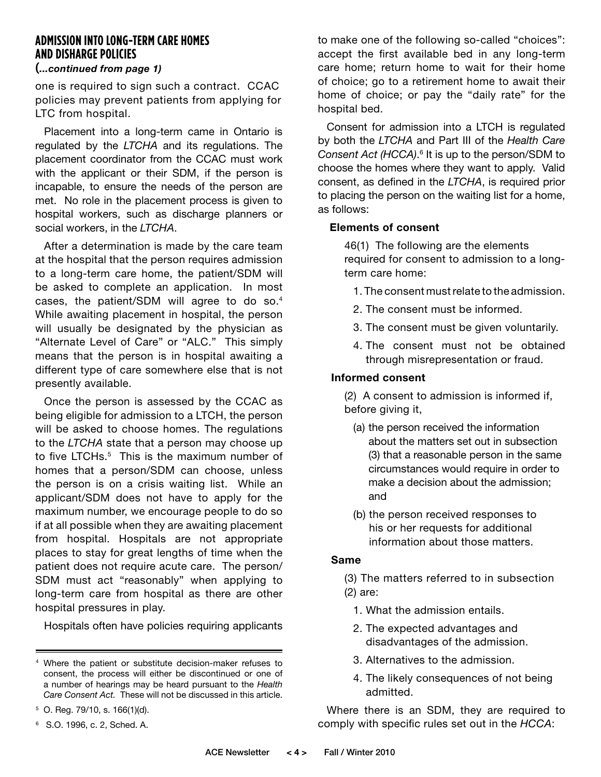### **ADMISSION INTO LONG-TERM CARE HOMES AND DISHARGE POLICIES**

#### **(***...continued from page 1)*

one is required to sign such a contract. CCAC policies may prevent patients from applying for LTC from hospital.

Placement into a long-term came in Ontario is regulated by the *LTCHA* and its regulations. The placement coordinator from the CCAC must work with the applicant or their SDM, if the person is incapable, to ensure the needs of the person are met. No role in the placement process is given to hospital workers, such as discharge planners or social workers, in the *LTCHA*.

After a determination is made by the care team at the hospital that the person requires admission to a long-term care home, the patient/SDM will be asked to complete an application. In most cases, the patient/SDM will agree to do so.4 While awaiting placement in hospital, the person will usually be designated by the physician as "Alternate Level of Care" or "ALC." This simply means that the person is in hospital awaiting a different type of care somewhere else that is not presently available.

Once the person is assessed by the CCAC as being eligible for admission to a LTCH, the person will be asked to choose homes. The regulations to the *LTCHA* state that a person may choose up to five LTCHs.<sup>5</sup> This is the maximum number of homes that a person/SDM can choose, unless the person is on a crisis waiting list. While an applicant/SDM does not have to apply for the maximum number, we encourage people to do so if at all possible when they are awaiting placement from hospital. Hospitals are not appropriate places to stay for great lengths of time when the patient does not require acute care. The person/ SDM must act "reasonably" when applying to long-term care from hospital as there are other hospital pressures in play.

Hospitals often have policies requiring applicants

to make one of the following so-called "choices": accept the first available bed in any long-term care home; return home to wait for their home of choice; go to a retirement home to await their home of choice; or pay the "daily rate" for the hospital bed.

Consent for admission into a LTCH is regulated by both the *LTCHA* and Part III of the *Health Care*  Consent Act (HCCA).<sup>6</sup> It is up to the person/SDM to choose the homes where they want to apply. Valid consent, as defined in the *LTCHA*, is required prior to placing the person on the waiting list for a home, as follows:

#### **Elements of consent**

46(1) The following are the elements required for consent to admission to a longterm care home:

- 1. The consent must relate to the admission.
- 2. The consent must be informed.
- 3. The consent must be given voluntarily.
- 4. The consent must not be obtained through misrepresentation or fraud.

#### **Informed consent**

(2) A consent to admission is informed if, before giving it,

- (a) the person received the information about the matters set out in subsection (3) that a reasonable person in the same circumstances would require in order to make a decision about the admission; and
- (b) the person received responses to his or her requests for additional information about those matters.

#### **Same**

 (3) The matters referred to in subsection (2) are:

- 1. What the admission entails.
- 2. The expected advantages and disadvantages of the admission.
- 3. Alternatives to the admission.
- 4. The likely consequences of not being admitted.

Where there is an SDM, they are required to comply with specific rules set out in the *HCCA*:

<sup>4</sup> Where the patient or substitute decision-maker refuses to consent, the process will either be discontinued or one of a number of hearings may be heard pursuant to the *Health Care Consent Act.* These will not be discussed in this article.

 $5$  O. Reg. 79/10, s. 166(1)(d).

<sup>6</sup> S.O. 1996, c. 2, Sched. A.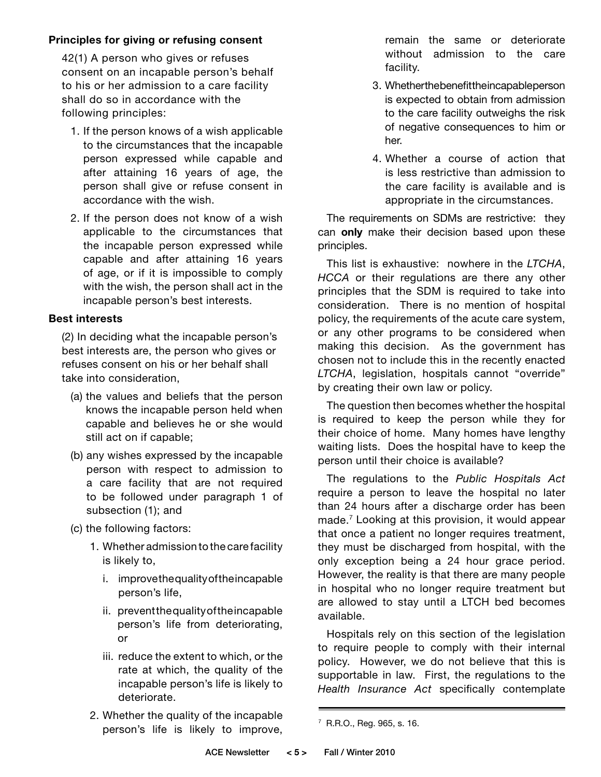#### **Principles for giving or refusing consent**

 42(1) A person who gives or refuses consent on an incapable person's behalf to his or her admission to a care facility shall do so in accordance with the following principles:

- 1. If the person knows of a wish applicable to the circumstances that the incapable person expressed while capable and after attaining 16 years of age, the person shall give or refuse consent in accordance with the wish.
- 2. If the person does not know of a wish applicable to the circumstances that the incapable person expressed while capable and after attaining 16 years of age, or if it is impossible to comply with the wish, the person shall act in the incapable person's best interests.

#### **Best interests**

(2) In deciding what the incapable person's best interests are, the person who gives or refuses consent on his or her behalf shall take into consideration,

- (a) the values and beliefs that the person knows the incapable person held when capable and believes he or she would still act on if capable;
- (b) any wishes expressed by the incapable person with respect to admission to a care facility that are not required to be followed under paragraph 1 of subsection (1); and
- (c) the following factors:
	- 1. Whether admission to the care facility is likely to,
		- i. improve the quality of the incapable person's life,
		- ii. prevent the quality of the incapable person's life from deteriorating, or
		- iii. reduce the extent to which, or the rate at which, the quality of the incapable person's life is likely to deteriorate.
	- 2. Whether the quality of the incapable person's life is likely to improve,

remain the same or deteriorate without admission to the care facility.

- 3. Whether the benefit the incapable person is expected to obtain from admission to the care facility outweighs the risk of negative consequences to him or her.
- 4. Whether a course of action that is less restrictive than admission to the care facility is available and is appropriate in the circumstances.

The requirements on SDMs are restrictive: they can **only** make their decision based upon these principles.

This list is exhaustive: nowhere in the *LTCHA*, *HCCA* or their regulations are there any other principles that the SDM is required to take into consideration. There is no mention of hospital policy, the requirements of the acute care system, or any other programs to be considered when making this decision. As the government has chosen not to include this in the recently enacted *LTCHA*, legislation, hospitals cannot "override" by creating their own law or policy.

The question then becomes whether the hospital is required to keep the person while they for their choice of home. Many homes have lengthy waiting lists. Does the hospital have to keep the person until their choice is available?

The regulations to the *Public Hospitals Act*  require a person to leave the hospital no later than 24 hours after a discharge order has been made.7 Looking at this provision, it would appear that once a patient no longer requires treatment, they must be discharged from hospital, with the only exception being a 24 hour grace period. However, the reality is that there are many people in hospital who no longer require treatment but are allowed to stay until a LTCH bed becomes available.

Hospitals rely on this section of the legislation to require people to comply with their internal policy. However, we do not believe that this is supportable in law. First, the regulations to the *Health Insurance Act* specifically contemplate

<sup>7</sup> R.R.O., Reg. 965, s. 16.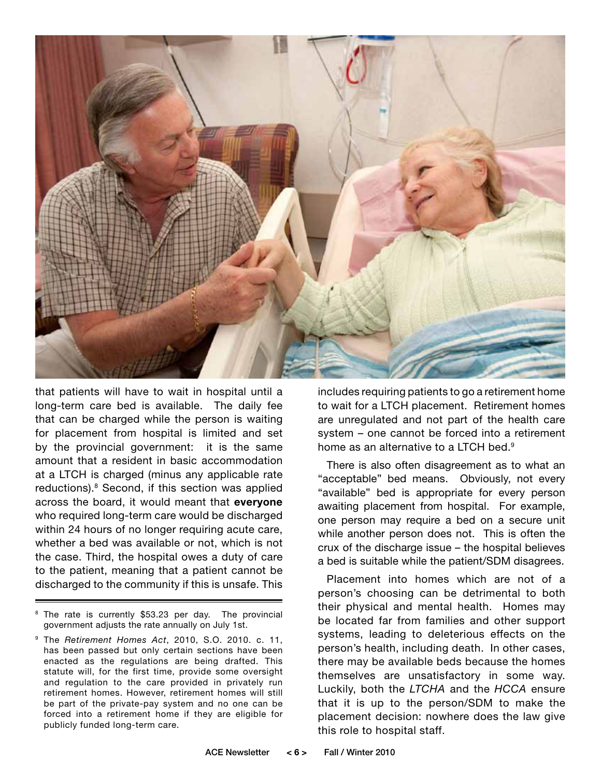

that patients will have to wait in hospital until a long-term care bed is available. The daily fee that can be charged while the person is waiting for placement from hospital is limited and set by the provincial government: it is the same amount that a resident in basic accommodation at a LTCH is charged (minus any applicable rate reductions).8 Second, if this section was applied across the board, it would meant that **everyone** who required long-term care would be discharged within 24 hours of no longer requiring acute care, whether a bed was available or not, which is not the case. Third, the hospital owes a duty of care to the patient, meaning that a patient cannot be discharged to the community if this is unsafe. This

<sup>8</sup> The rate is currently \$53.23 per day. The provincial government adjusts the rate annually on July 1st.

9 The *Retirement Homes Act*, 2010, S.O. 2010. c. 11, has been passed but only certain sections have been enacted as the regulations are being drafted. This statute will, for the first time, provide some oversight and regulation to the care provided in privately run retirement homes. However, retirement homes will still be part of the private-pay system and no one can be forced into a retirement home if they are eligible for publicly funded long-term care.

includes requiring patients to go a retirement home to wait for a LTCH placement. Retirement homes are unregulated and not part of the health care system – one cannot be forced into a retirement home as an alternative to a LTCH bed.<sup>9</sup>

There is also often disagreement as to what an "acceptable" bed means. Obviously, not every "available" bed is appropriate for every person awaiting placement from hospital. For example, one person may require a bed on a secure unit while another person does not. This is often the crux of the discharge issue – the hospital believes a bed is suitable while the patient/SDM disagrees.

Placement into homes which are not of a person's choosing can be detrimental to both their physical and mental health. Homes may be located far from families and other support systems, leading to deleterious effects on the person's health, including death. In other cases, there may be available beds because the homes themselves are unsatisfactory in some way. Luckily, both the *LTCHA* and the *HCCA* ensure that it is up to the person/SDM to make the placement decision: nowhere does the law give this role to hospital staff.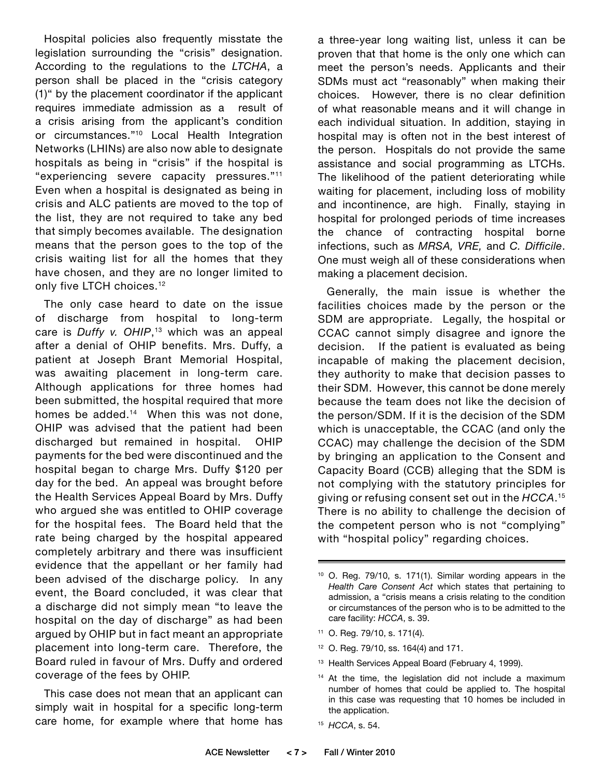Hospital policies also frequently misstate the legislation surrounding the "crisis" designation. According to the regulations to the *LTCHA*, a person shall be placed in the "crisis category (1)" by the placement coordinator if the applicant requires immediate admission as a result of a crisis arising from the applicant's condition or circumstances."10 Local Health Integration Networks (LHINs) are also now able to designate hospitals as being in "crisis" if the hospital is "experiencing severe capacity pressures."11 Even when a hospital is designated as being in crisis and ALC patients are moved to the top of the list, they are not required to take any bed that simply becomes available. The designation means that the person goes to the top of the crisis waiting list for all the homes that they have chosen, and they are no longer limited to only five LTCH choices.<sup>12</sup>

The only case heard to date on the issue of discharge from hospital to long-term care is *Duffy v. OHIP*, 13 which was an appeal after a denial of OHIP benefits. Mrs. Duffy, a patient at Joseph Brant Memorial Hospital, was awaiting placement in long-term care. Although applications for three homes had been submitted, the hospital required that more homes be added.<sup>14</sup> When this was not done, OHIP was advised that the patient had been discharged but remained in hospital. OHIP payments for the bed were discontinued and the hospital began to charge Mrs. Duffy \$120 per day for the bed. An appeal was brought before the Health Services Appeal Board by Mrs. Duffy who argued she was entitled to OHIP coverage for the hospital fees. The Board held that the rate being charged by the hospital appeared completely arbitrary and there was insufficient evidence that the appellant or her family had been advised of the discharge policy. In any event, the Board concluded, it was clear that a discharge did not simply mean "to leave the hospital on the day of discharge" as had been argued by OHIP but in fact meant an appropriate placement into long-term care. Therefore, the Board ruled in favour of Mrs. Duffy and ordered coverage of the fees by OHIP.

This case does not mean that an applicant can simply wait in hospital for a specific long-term care home, for example where that home has

a three-year long waiting list, unless it can be proven that that home is the only one which can meet the person's needs. Applicants and their SDMs must act "reasonably" when making their choices. However, there is no clear definition of what reasonable means and it will change in each individual situation. In addition, staying in hospital may is often not in the best interest of the person. Hospitals do not provide the same assistance and social programming as LTCHs. The likelihood of the patient deteriorating while waiting for placement, including loss of mobility and incontinence, are high. Finally, staying in hospital for prolonged periods of time increases the chance of contracting hospital borne infections, such as *MRSA, VRE,* and *C. Difficile*. One must weigh all of these considerations when making a placement decision.

Generally, the main issue is whether the facilities choices made by the person or the SDM are appropriate. Legally, the hospital or CCAC cannot simply disagree and ignore the decision. If the patient is evaluated as being incapable of making the placement decision, they authority to make that decision passes to their SDM. However, this cannot be done merely because the team does not like the decision of the person/SDM. If it is the decision of the SDM which is unacceptable, the CCAC (and only the CCAC) may challenge the decision of the SDM by bringing an application to the Consent and Capacity Board (CCB) alleging that the SDM is not complying with the statutory principles for giving or refusing consent set out in the *HCCA*. 15 There is no ability to challenge the decision of the competent person who is not "complying" with "hospital policy" regarding choices.

- 11 O. Reg. 79/10, s. 171(4).
- 12 O. Reg. 79/10, ss. 164(4) and 171.
- <sup>13</sup> Health Services Appeal Board (February 4, 1999).
- <sup>14</sup> At the time, the legislation did not include a maximum number of homes that could be applied to. The hospital in this case was requesting that 10 homes be included in the application.
- 15 *HCCA*, s. 54.

<sup>10</sup> O. Reg. 79/10, s. 171(1). Similar wording appears in the *Health Care Consent Act* which states that pertaining to admission, a "crisis means a crisis relating to the condition or circumstances of the person who is to be admitted to the care facility: *HCCA*, s. 39.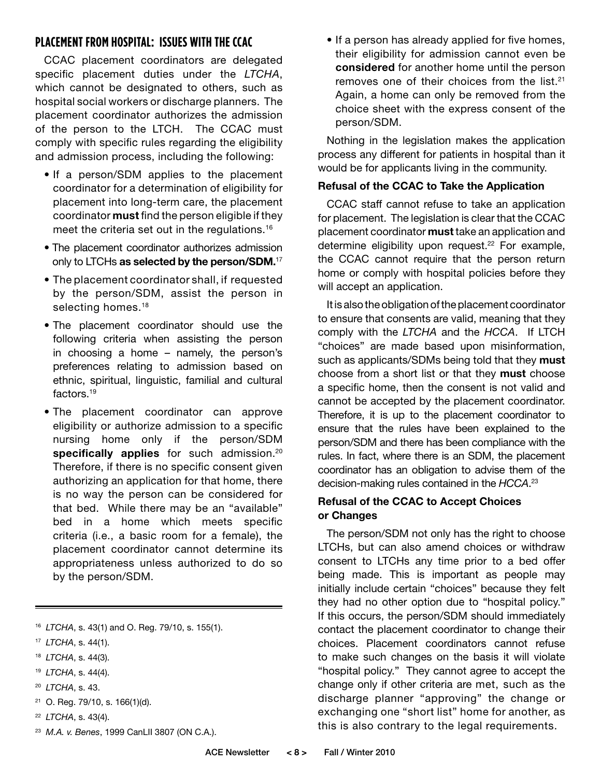### **PLACEMENT FROM HOSPITAL: ISSUES WITH THE CCAC**

CCAC placement coordinators are delegated specific placement duties under the *LTCHA*, which cannot be designated to others, such as hospital social workers or discharge planners. The placement coordinator authorizes the admission of the person to the LTCH. The CCAC must comply with specific rules regarding the eligibility and admission process, including the following:

- If a person/SDM applies to the placement coordinator for a determination of eligibility for placement into long-term care, the placement coordinator **must** find the person eligible if they meet the criteria set out in the regulations.16
- The placement coordinator authorizes admission only to LTCHs **as selected by the person/SDM.**<sup>17</sup>
- The placement coordinator shall, if requested by the person/SDM, assist the person in selecting homes.<sup>18</sup>
- The placement coordinator should use the following criteria when assisting the person in choosing a home – namely, the person's preferences relating to admission based on ethnic, spiritual, linguistic, familial and cultural factors.19
- The placement coordinator can approve eligibility or authorize admission to a specific nursing home only if the person/SDM specifically applies for such admission.<sup>20</sup> Therefore, if there is no specific consent given authorizing an application for that home, there is no way the person can be considered for that bed. While there may be an "available" bed in a home which meets specific criteria (i.e., a basic room for a female), the placement coordinator cannot determine its appropriateness unless authorized to do so by the person/SDM.
- 16 *LTCHA*, s. 43(1) and O. Reg. 79/10, s. 155(1).
- 17 *LTCHA*, s. 44(1).
- 18 *LTCHA*, s. 44(3).
- 19 *LTCHA*, s. 44(4).
- 20 *LTCHA*, s. 43.
- 21 O. Reg. 79/10, s. 166(1)(d).
- 22 *LTCHA*, s. 43(4).
- 23 *M.A. v. Benes*, 1999 CanLII 3807 (ON C.A.).

• If a person has already applied for five homes, their eligibility for admission cannot even be **considered** for another home until the person removes one of their choices from the list.<sup>21</sup> Again, a home can only be removed from the choice sheet with the express consent of the person/SDM.

Nothing in the legislation makes the application process any different for patients in hospital than it would be for applicants living in the community.

#### **Refusal of the CCAC to Take the Application**

CCAC staff cannot refuse to take an application for placement. The legislation is clear that the CCAC placement coordinator **must** take an application and determine eligibility upon request.<sup>22</sup> For example, the CCAC cannot require that the person return home or comply with hospital policies before they will accept an application.

It is also the obligation of the placement coordinator to ensure that consents are valid, meaning that they comply with the *LTCHA* and the *HCCA*. If LTCH "choices" are made based upon misinformation, such as applicants/SDMs being told that they **must** choose from a short list or that they **must** choose a specific home, then the consent is not valid and cannot be accepted by the placement coordinator. Therefore, it is up to the placement coordinator to ensure that the rules have been explained to the person/SDM and there has been compliance with the rules. In fact, where there is an SDM, the placement coordinator has an obligation to advise them of the decision-making rules contained in the *HCCA*. 23

#### **Refusal of the CCAC to Accept Choices or Changes**

The person/SDM not only has the right to choose LTCHs, but can also amend choices or withdraw consent to LTCHs any time prior to a bed offer being made. This is important as people may initially include certain "choices" because they felt they had no other option due to "hospital policy." If this occurs, the person/SDM should immediately contact the placement coordinator to change their choices. Placement coordinators cannot refuse to make such changes on the basis it will violate "hospital policy." They cannot agree to accept the change only if other criteria are met, such as the discharge planner "approving" the change or exchanging one "short list" home for another, as this is also contrary to the legal requirements.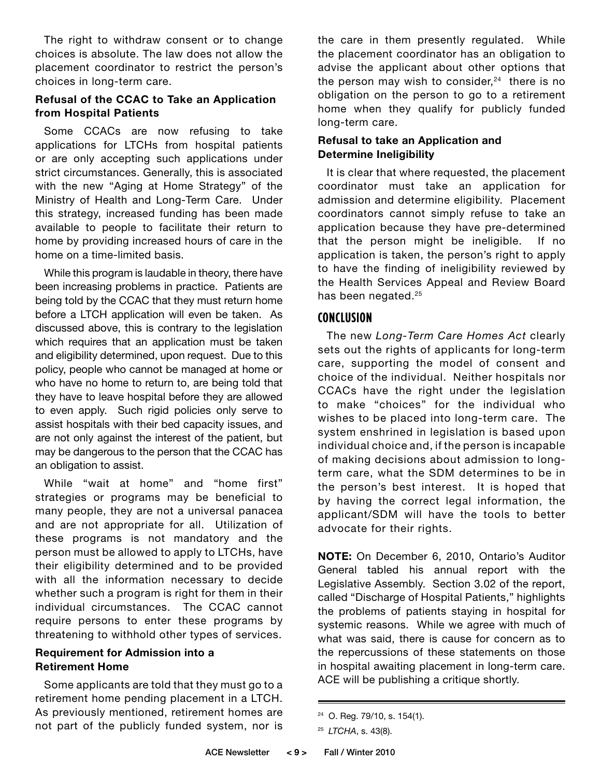The right to withdraw consent or to change choices is absolute. The law does not allow the placement coordinator to restrict the person's choices in long-term care.

#### **Refusal of the CCAC to Take an Application from Hospital Patients**

Some CCACs are now refusing to take applications for LTCHs from hospital patients or are only accepting such applications under strict circumstances. Generally, this is associated with the new "Aging at Home Strategy" of the Ministry of Health and Long-Term Care. Under this strategy, increased funding has been made available to people to facilitate their return to home by providing increased hours of care in the home on a time-limited basis.

While this program is laudable in theory, there have been increasing problems in practice. Patients are being told by the CCAC that they must return home before a LTCH application will even be taken. As discussed above, this is contrary to the legislation which requires that an application must be taken and eligibility determined, upon request. Due to this policy, people who cannot be managed at home or who have no home to return to, are being told that they have to leave hospital before they are allowed to even apply. Such rigid policies only serve to assist hospitals with their bed capacity issues, and are not only against the interest of the patient, but may be dangerous to the person that the CCAC has an obligation to assist.

While "wait at home" and "home first" strategies or programs may be beneficial to many people, they are not a universal panacea and are not appropriate for all. Utilization of these programs is not mandatory and the person must be allowed to apply to LTCHs, have their eligibility determined and to be provided with all the information necessary to decide whether such a program is right for them in their individual circumstances. The CCAC cannot require persons to enter these programs by threatening to withhold other types of services.

#### **Requirement for Admission into a Retirement Home**

Some applicants are told that they must go to a retirement home pending placement in a LTCH. As previously mentioned, retirement homes are not part of the publicly funded system, nor is

the care in them presently regulated. While the placement coordinator has an obligation to advise the applicant about other options that the person may wish to consider, $24$  there is no obligation on the person to go to a retirement home when they qualify for publicly funded long-term care.

#### **Refusal to take an Application and Determine Ineligibility**

It is clear that where requested, the placement coordinator must take an application for admission and determine eligibility. Placement coordinators cannot simply refuse to take an application because they have pre-determined that the person might be ineligible. If no application is taken, the person's right to apply to have the finding of ineligibility reviewed by the Health Services Appeal and Review Board has been negated.<sup>25</sup>

### **CONCLUSION**

The new *Long-Term Care Homes Act* clearly sets out the rights of applicants for long-term care, supporting the model of consent and choice of the individual. Neither hospitals nor CCACs have the right under the legislation to make "choices" for the individual who wishes to be placed into long-term care. The system enshrined in legislation is based upon individual choice and, if the person is incapable of making decisions about admission to longterm care, what the SDM determines to be in the person's best interest. It is hoped that by having the correct legal information, the applicant/SDM will have the tools to better advocate for their rights.

**NOTE:** On December 6, 2010, Ontario's Auditor General tabled his annual report with the Legislative Assembly. Section 3.02 of the report, called "Discharge of Hospital Patients," highlights the problems of patients staying in hospital for systemic reasons. While we agree with much of what was said, there is cause for concern as to the repercussions of these statements on those in hospital awaiting placement in long-term care. ACE will be publishing a critique shortly.

<sup>24</sup> O. Reg. 79/10, s. 154(1).

<sup>25</sup> *LTCHA*, s. 43(8).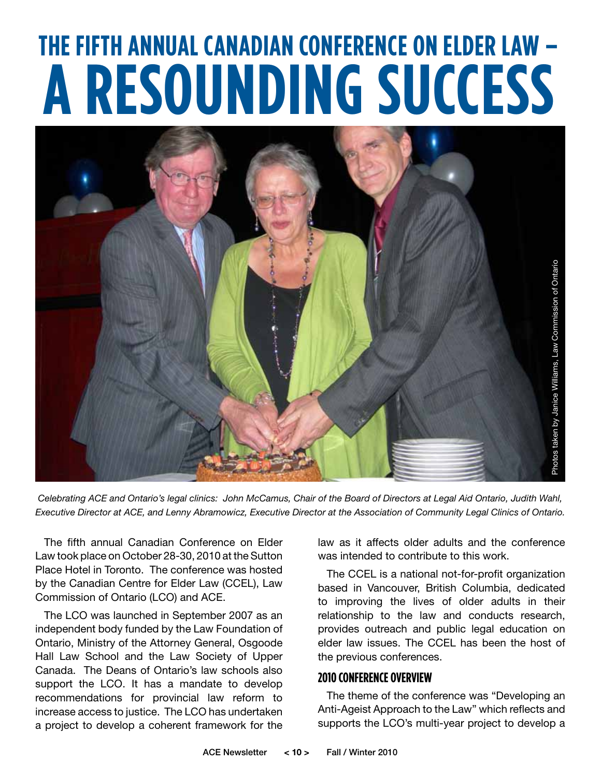# **THE FIFTH ANNUAL CANADIAN CONFERENCE ON ELDER LAW – A RESOUNDING SUCCESS**



*Celebrating ACE and Ontario's legal clinics: John McCamus, Chair of the Board of Directors at Legal Aid Ontario, Judith Wahl, Executive Director at ACE, and Lenny Abramowicz, Executive Director at the Association of Community Legal Clinics of Ontario.*

The fifth annual Canadian Conference on Elder Law took place on October 28-30, 2010 at the Sutton Place Hotel in Toronto. The conference was hosted by the Canadian Centre for Elder Law (CCEL), Law Commission of Ontario (LCO) and ACE.

The LCO was launched in September 2007 as an independent body funded by the Law Foundation of Ontario, Ministry of the Attorney General, Osgoode Hall Law School and the Law Society of Upper Canada. The Deans of Ontario's law schools also support the LCO. It has a mandate to develop recommendations for provincial law reform to increase access to justice. The LCO has undertaken a project to develop a coherent framework for the

law as it affects older adults and the conference was intended to contribute to this work.

The CCEL is a national not-for-profit organization based in Vancouver, British Columbia, dedicated to improving the lives of older adults in their relationship to the law and conducts research, provides outreach and public legal education on elder law issues. The CCEL has been the host of the previous conferences.

#### **2010 Conference Overview**

The theme of the conference was "Developing an Anti-Ageist Approach to the Law" which reflects and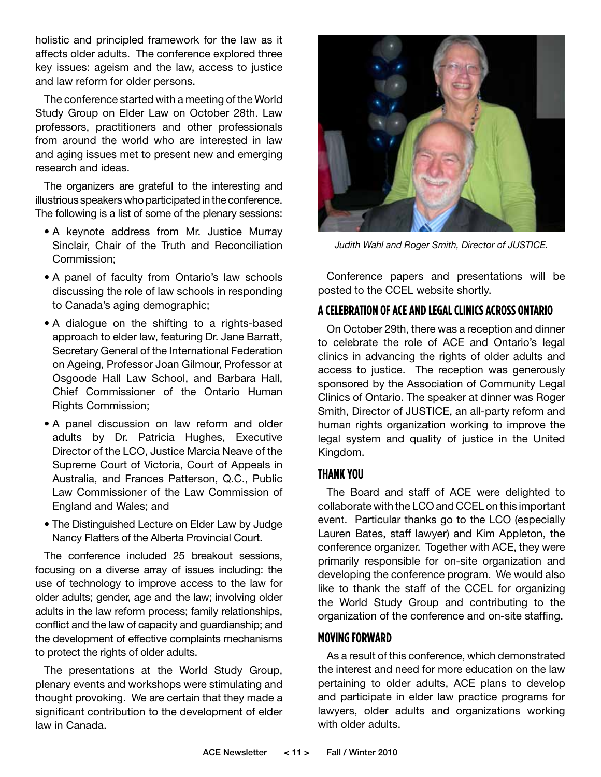holistic and principled framework for the law as it affects older adults. The conference explored three key issues: ageism and the law, access to justice and law reform for older persons.

The conference started with a meeting of the World Study Group on Elder Law on October 28th. Law professors, practitioners and other professionals from around the world who are interested in law and aging issues met to present new and emerging research and ideas.

The organizers are grateful to the interesting and illustrious speakers who participated in the conference. The following is a list of some of the plenary sessions:

- A keynote address from Mr. Justice Murray Sinclair, Chair of the Truth and Reconciliation Commission;
- A panel of faculty from Ontario's law schools discussing the role of law schools in responding to Canada's aging demographic;
- A dialogue on the shifting to a rights-based approach to elder law, featuring Dr. Jane Barratt, Secretary General of the International Federation on Ageing, Professor Joan Gilmour, Professor at Osgoode Hall Law School, and Barbara Hall, Chief Commissioner of the Ontario Human Rights Commission;
- A panel discussion on law reform and older adults by Dr. Patricia Hughes, Executive Director of the LCO, Justice Marcia Neave of the Supreme Court of Victoria, Court of Appeals in Australia, and Frances Patterson, Q.C., Public Law Commissioner of the Law Commission of England and Wales; and
- The Distinguished Lecture on Elder Law by Judge Nancy Flatters of the Alberta Provincial Court.

The conference included 25 breakout sessions, focusing on a diverse array of issues including: the use of technology to improve access to the law for older adults; gender, age and the law; involving older adults in the law reform process; family relationships, conflict and the law of capacity and guardianship; and the development of effective complaints mechanisms to protect the rights of older adults.

The presentations at the World Study Group, plenary events and workshops were stimulating and thought provoking. We are certain that they made a significant contribution to the development of elder law in Canada.



*Judith Wahl and Roger Smith, Director of JUSTICE.* 

Conference papers and presentations will be posted to the CCEL website shortly.

### **A Celebration of ACE and Legal Clinicsacross Ontario**

On October 29th, there was a reception and dinner to celebrate the role of ACE and Ontario's legal clinics in advancing the rights of older adults and access to justice. The reception was generously sponsored by the Association of Community Legal Clinics of Ontario. The speaker at dinner was Roger Smith, Director of JUSTICE, an all-party reform and human rights organization working to improve the legal system and quality of justice in the United Kingdom.

#### **Thank You**

The Board and staff of ACE were delighted to collaborate with the LCO and CCEL on this important event. Particular thanks go to the LCO (especially Lauren Bates, staff lawyer) and Kim Appleton, the conference organizer. Together with ACE, they were primarily responsible for on-site organization and developing the conference program. We would also like to thank the staff of the CCEL for organizing the World Study Group and contributing to the organization of the conference and on-site staffing.

#### **Moving Forward**

As a result of this conference, which demonstrated the interest and need for more education on the law pertaining to older adults, ACE plans to develop and participate in elder law practice programs for lawyers, older adults and organizations working with older adults.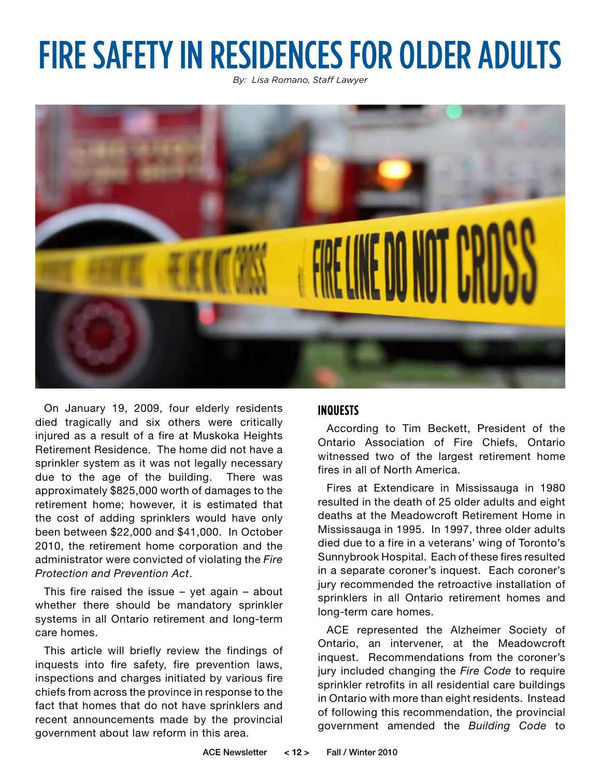## FIRE SAFETY IN RESIDENCES FOR OLDER ADULTS

*By: Lisa Romano, Staff Lawyer*



On January 19, 2009, four elderly residents died tragically and six others were critically injured as a result of a fire at Muskoka Heights Retirement Residence. The home did not have a sprinkler system as it was not legally necessary due to the age of the building. There was approximately \$825,000 worth of damages to the retirement home; however, it is estimated that the cost of adding sprinklers would have only been between \$22,000 and \$41,000. In October 2010, the retirement home corporation and the administrator were convicted of violating the *Fire Protection and Prevention Act*.

This fire raised the issue – yet again – about whether there should be mandatory sprinkler systems in all Ontario retirement and long-term care homes.

This article will briefly review the findings of inquests into fire safety, fire prevention laws, inspections and charges initiated by various fire chiefs from across the province in response to the fact that homes that do not have sprinklers and recent announcements made by the provincial government about law reform in this area.

#### **Inquests**

According to Tim Beckett, President of the Ontario Association of Fire Chiefs, Ontario witnessed two of the largest retirement home fires in all of North America.

Fires at Extendicare in Mississauga in 1980 resulted in the death of 25 older adults and eight deaths at the Meadowcroft Retirement Home in Mississauga in 1995. In 1997, three older adults died due to a fire in a veterans' wing of Toronto's Sunnybrook Hospital. Each of these fires resulted in a separate coroner's inquest. Each coroner's jury recommended the retroactive installation of sprinklers in all Ontario retirement homes and long-term care homes.

ACE represented the Alzheimer Society of Ontario, an intervener, at the Meadowcroft inquest. Recommendations from the coroner's jury included changing the *Fire Code* to require sprinkler retrofits in all residential care buildings in Ontario with more than eight residents. Instead of following this recommendation, the provincial government amended the *Building Code* to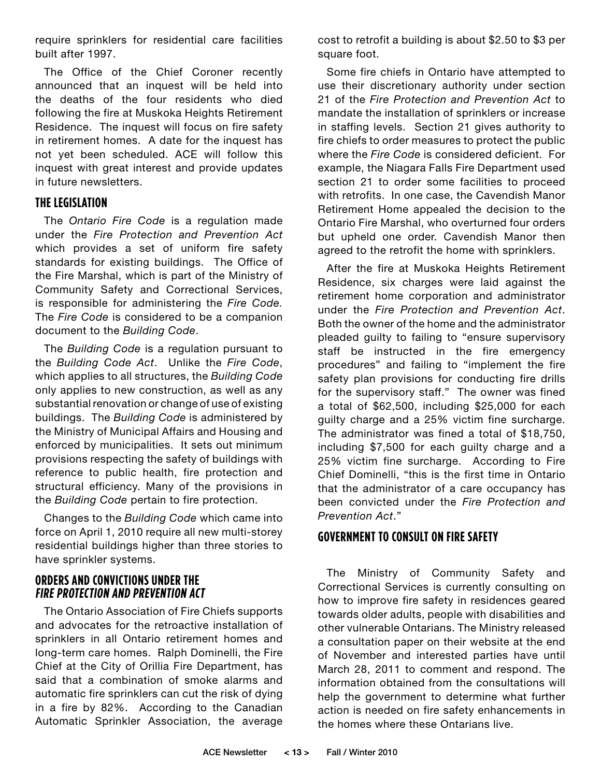require sprinklers for residential care facilities built after 1997.

The Office of the Chief Coroner recently announced that an inquest will be held into the deaths of the four residents who died following the fire at Muskoka Heights Retirement Residence. The inquest will focus on fire safety in retirement homes. A date for the inquest has not yet been scheduled. ACE will follow this inquest with great interest and provide updates in future newsletters.

### **The Legislation**

The *Ontario Fire Code* is a regulation made under the *Fire Protection and Prevention Act* which provides a set of uniform fire safety standards for existing buildings. The Office of the Fire Marshal, which is part of the Ministry of Community Safety and Correctional Services, is responsible for administering the *Fire Code.*  The *Fire Code* is considered to be a companion document to the *Building Code*.

The *Building Code* is a regulation pursuant to the *Building Code Act*. Unlike the *Fire Code*, which applies to all structures, the *Building Code* only applies to new construction, as well as any substantial renovation or change of use of existing buildings. The *Building Code* is administered by the Ministry of Municipal Affairs and Housing and enforced by municipalities. It sets out minimum provisions respecting the safety of buildings with reference to public health, fire protection and structural efficiency. Many of the provisions in the *Building Code* pertain to fire protection.

Changes to the *Building Code* which came into force on April 1, 2010 require all new multi-storey residential buildings higher than three stories to have sprinkler systems.

#### **Orders and Convictions under the Fire Protection and Prevention Act**

The Ontario Association of Fire Chiefs supports and advocates for the retroactive installation of sprinklers in all Ontario retirement homes and long-term care homes. Ralph Dominelli, the Fire Chief at the City of Orillia Fire Department, has said that a combination of smoke alarms and automatic fire sprinklers can cut the risk of dying in a fire by 82%. According to the Canadian Automatic Sprinkler Association, the average

cost to retrofit a building is about \$2.50 to \$3 per square foot.

Some fire chiefs in Ontario have attempted to use their discretionary authority under section 21 of the *Fire Protection and Prevention Act* to mandate the installation of sprinklers or increase in staffing levels. Section 21 gives authority to fire chiefs to order measures to protect the public where the *Fire Code* is considered deficient. For example, the Niagara Falls Fire Department used section 21 to order some facilities to proceed with retrofits. In one case, the Cavendish Manor Retirement Home appealed the decision to the Ontario Fire Marshal, who overturned four orders but upheld one order. Cavendish Manor then agreed to the retrofit the home with sprinklers.

After the fire at Muskoka Heights Retirement Residence, six charges were laid against the retirement home corporation and administrator under the *Fire Protection and Prevention Act*. Both the owner of the home and the administrator pleaded guilty to failing to "ensure supervisory staff be instructed in the fire emergency procedures" and failing to "implement the fire safety plan provisions for conducting fire drills for the supervisory staff." The owner was fined a total of \$62,500, including \$25,000 for each guilty charge and a 25% victim fine surcharge. The administrator was fined a total of \$18,750, including \$7,500 for each guilty charge and a 25% victim fine surcharge. According to Fire Chief Dominelli, "this is the first time in Ontario that the administrator of a care occupancy has been convicted under the *Fire Protection and Prevention Act*."

### **Government to Consult on Fire Safety**

The Ministry of Community Safety and Correctional Services is currently consulting on how to improve fire safety in residences geared towards older adults, people with disabilities and other vulnerable Ontarians. The Ministry released a consultation paper on their website at the end of November and interested parties have until March 28, 2011 to comment and respond. The information obtained from the consultations will help the government to determine what further action is needed on fire safety enhancements in the homes where these Ontarians live.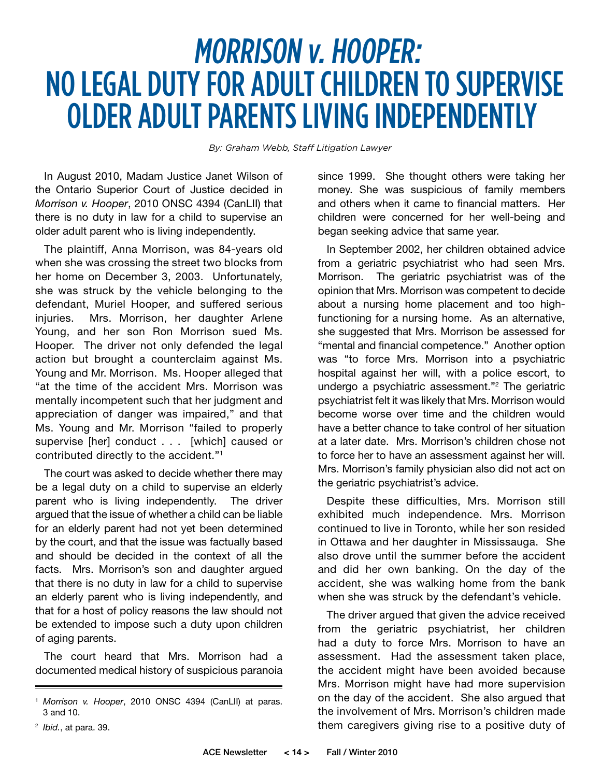## MORRISON v. HOOPER: NO LEGAL DUTY FOR ADULT CHILDREN TO SUPERVISE OLDER ADULT PARENTS LIVING INDEPENDENTLY

*By: Graham Webb, Staff Litigation Lawyer*

In August 2010, Madam Justice Janet Wilson of the Ontario Superior Court of Justice decided in *Morrison v. Hooper*, 2010 ONSC 4394 (CanLII) that there is no duty in law for a child to supervise an older adult parent who is living independently.

The plaintiff, Anna Morrison, was 84-years old when she was crossing the street two blocks from her home on December 3, 2003. Unfortunately, she was struck by the vehicle belonging to the defendant, Muriel Hooper, and suffered serious injuries. Mrs. Morrison, her daughter Arlene Young, and her son Ron Morrison sued Ms. Hooper. The driver not only defended the legal action but brought a counterclaim against Ms. Young and Mr. Morrison. Ms. Hooper alleged that "at the time of the accident Mrs. Morrison was mentally incompetent such that her judgment and appreciation of danger was impaired," and that Ms. Young and Mr. Morrison "failed to properly supervise [her] conduct . . . [which] caused or contributed directly to the accident."1

The court was asked to decide whether there may be a legal duty on a child to supervise an elderly parent who is living independently. The driver argued that the issue of whether a child can be liable for an elderly parent had not yet been determined by the court, and that the issue was factually based and should be decided in the context of all the facts. Mrs. Morrison's son and daughter argued that there is no duty in law for a child to supervise an elderly parent who is living independently, and that for a host of policy reasons the law should not be extended to impose such a duty upon children of aging parents.

The court heard that Mrs. Morrison had a documented medical history of suspicious paranoia

2 *Ibid.*, at para. 39.

since 1999. She thought others were taking her money. She was suspicious of family members and others when it came to financial matters. Her children were concerned for her well-being and began seeking advice that same year.

In September 2002, her children obtained advice from a geriatric psychiatrist who had seen Mrs. Morrison. The geriatric psychiatrist was of the opinion that Mrs. Morrison was competent to decide about a nursing home placement and too highfunctioning for a nursing home. As an alternative, she suggested that Mrs. Morrison be assessed for "mental and financial competence." Another option was "to force Mrs. Morrison into a psychiatric hospital against her will, with a police escort, to undergo a psychiatric assessment."2 The geriatric psychiatrist felt it was likely that Mrs. Morrison would become worse over time and the children would have a better chance to take control of her situation at a later date. Mrs. Morrison's children chose not to force her to have an assessment against her will. Mrs. Morrison's family physician also did not act on the geriatric psychiatrist's advice.

Despite these difficulties, Mrs. Morrison still exhibited much independence. Mrs. Morrison continued to live in Toronto, while her son resided in Ottawa and her daughter in Mississauga. She also drove until the summer before the accident and did her own banking. On the day of the accident, she was walking home from the bank when she was struck by the defendant's vehicle.

The driver argued that given the advice received from the geriatric psychiatrist, her children had a duty to force Mrs. Morrison to have an assessment. Had the assessment taken place, the accident might have been avoided because Mrs. Morrison might have had more supervision on the day of the accident. She also argued that the involvement of Mrs. Morrison's children made them caregivers giving rise to a positive duty of

<sup>1</sup> *Morrison v. Hooper*, 2010 ONSC 4394 (CanLII) at paras. 3 and 10.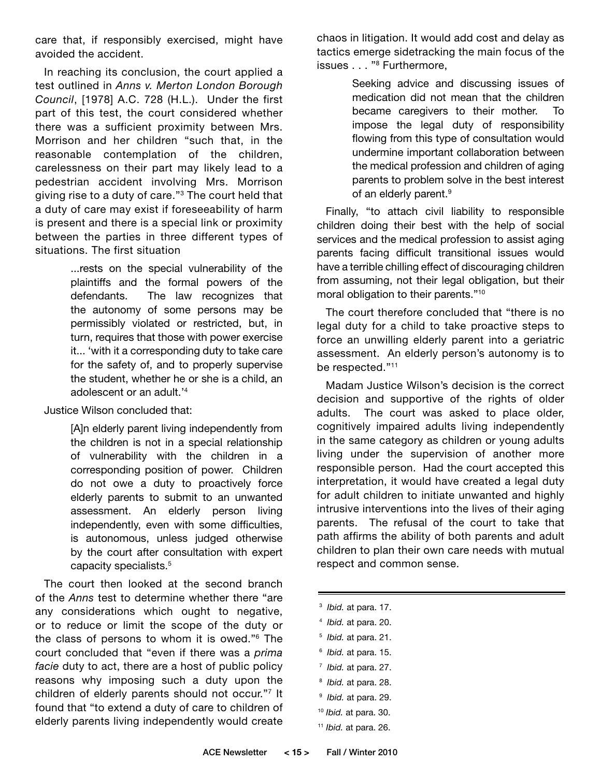care that, if responsibly exercised, might have avoided the accident.

In reaching its conclusion, the court applied a test outlined in *Anns v. Merton London Borough Council*, [1978] A.C. 728 (H.L.). Under the first part of this test, the court considered whether there was a sufficient proximity between Mrs. Morrison and her children "such that, in the reasonable contemplation of the children, carelessness on their part may likely lead to a pedestrian accident involving Mrs. Morrison giving rise to a duty of care."3 The court held that a duty of care may exist if foreseeability of harm is present and there is a special link or proximity between the parties in three different types of situations. The first situation

> ...rests on the special vulnerability of the plaintiffs and the formal powers of the defendants. The law recognizes that the autonomy of some persons may be permissibly violated or restricted, but, in turn, requires that those with power exercise it... 'with it a corresponding duty to take care for the safety of, and to properly supervise the student, whether he or she is a child, an adolescent or an adult.'4

Justice Wilson concluded that:

 [A]n elderly parent living independently from the children is not in a special relationship of vulnerability with the children in a corresponding position of power. Children do not owe a duty to proactively force elderly parents to submit to an unwanted assessment. An elderly person living independently, even with some difficulties, is autonomous, unless judged otherwise by the court after consultation with expert capacity specialists.5

The court then looked at the second branch of the *Anns* test to determine whether there "are any considerations which ought to negative, or to reduce or limit the scope of the duty or the class of persons to whom it is owed."6 The court concluded that "even if there was a *prima facie* duty to act, there are a host of public policy reasons why imposing such a duty upon the children of elderly parents should not occur."7 It found that "to extend a duty of care to children of elderly parents living independently would create

chaos in litigation. It would add cost and delay as tactics emerge sidetracking the main focus of the issues . . . "8 Furthermore,

> Seeking advice and discussing issues of medication did not mean that the children became caregivers to their mother. To impose the legal duty of responsibility flowing from this type of consultation would undermine important collaboration between the medical profession and children of aging parents to problem solve in the best interest of an elderly parent.<sup>9</sup>

Finally, "to attach civil liability to responsible children doing their best with the help of social services and the medical profession to assist aging parents facing difficult transitional issues would have a terrible chilling effect of discouraging children from assuming, not their legal obligation, but their moral obligation to their parents."10

The court therefore concluded that "there is no legal duty for a child to take proactive steps to force an unwilling elderly parent into a geriatric assessment. An elderly person's autonomy is to be respected."<sup>11</sup>

Madam Justice Wilson's decision is the correct decision and supportive of the rights of older adults. The court was asked to place older, cognitively impaired adults living independently in the same category as children or young adults living under the supervision of another more responsible person. Had the court accepted this interpretation, it would have created a legal duty for adult children to initiate unwanted and highly intrusive interventions into the lives of their aging parents. The refusal of the court to take that path affirms the ability of both parents and adult children to plan their own care needs with mutual respect and common sense.

- 3 *Ibid.* at para. 17.
- 4 *Ibid.* at para. 20.
- 5 *Ibid.* at para. 21.
- 6 *Ibid.* at para. 15.
- 7 *Ibid.* at para. 27.
- 8 *Ibid.* at para. 28.
- 9 *Ibid.* at para. 29.
- <sup>10</sup> *Ibid.* at para. 30.
- <sup>11</sup> *Ibid.* at para. 26.